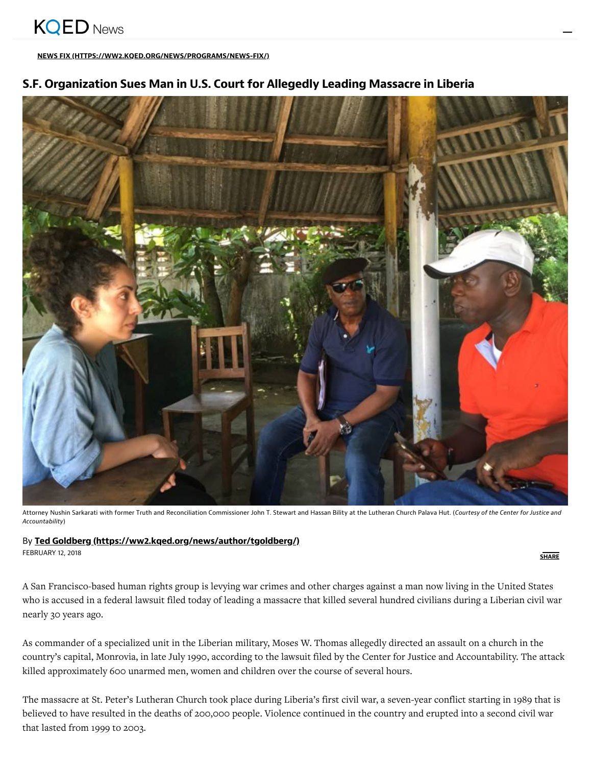[NEWS FIX \(HTTPS://WW2.KQED.ORG/NEWS/PROGRAMS/NEWS-FIX/\)](https://ww2.kqed.org/news/programs/news-fix/)

# S.F. Organization Sues Man in U.S. Court for Allegedly Leading Massacre in Liberia



Attorney Nushin Sarkarati with former Truth and Reconciliation Commissioner John T. Stewart and Hassan Bility at the Lutheran Church Palava Hut. (Courtesy of the Center for Justice and Accountability)

### By Ted Goldberg [\(https://ww2.kqed.org/news/author/tgoldberg/\)](https://ww2.kqed.org/news/author/tgoldberg/)

FEBRUARY 12, 2018

**SHARE** 

A San Francisco-based human rights group is levying war crimes and other charges against a man now living in the United States who is accused in a federal lawsuit filed today of leading a massacre that killed several hundred civilians during a Liberian civil war nearly 30 years ago.

As commander of a specialized unit in the Liberian military, Moses W. Thomas allegedly directed an assault on a church in the country's capital, Monrovia, in late July 1990, according to the lawsuit filed by the Center for Justice and Accountability. The attack killed approximately 600 unarmed men, women and children over the course of several hours.

The massacre at St. Peter's Lutheran Church took place during Liberia's first civil war, a seven-year conflict starting in 1989 that is believed to have resulted in the deaths of 200,000 people. Violence continued in the country and erupted into a second civil war that lasted from 1999 to 2003.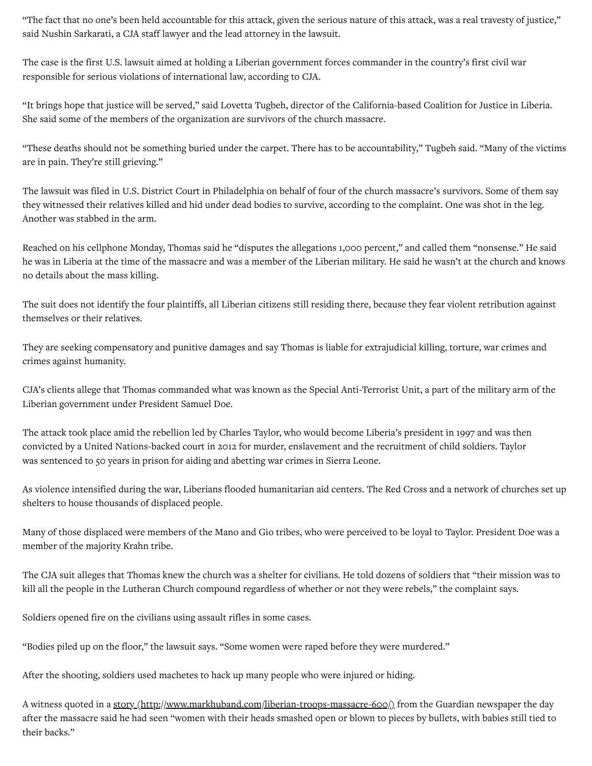"The fact that no one's been held accountable for this attack, given the serious nature of this attack, was a real travesty of justice," said Nushin Sarkarati, a CJA staff lawyer and the lead attorney in the lawsuit.

The case is the first U.S. lawsuit aimed at holding a Liberian government forces commander in the country's first civil war responsible for serious violations of international law, according to CJA.

"It brings hope that justice will be served," said Lovetta Tugbeh, director of the California-based Coalition for Justice in Liberia. She said some of the members of the organization are survivors of the church massacre.

"These deaths should not be something buried under the carpet. There has to be accountability," Tugbeh said. "Many of the victims are in pain. They're still grieving."

The lawsuit was filed in U.S. District Court in Philadelphia on behalf of four of the church massacre's survivors. Some of them say they witnessed their relatives killed and hid under dead bodies to survive, according to the complaint. One was shot in the leg. Another was stabbed in the arm.

Reached on his cellphone Monday, Thomas said he "disputes the allegations 1,000 percent," and called them "nonsense." He said he was in Liberia at the time of the massacre and was a member of the Liberian military. He said he wasn't at the church and knows no details about the mass killing.

The suit does not identify the four plaintiffs, all Liberian citizens still residing there, because they fear violent retribution against themselves or their relatives.

They are seeking compensatory and punitive damages and say Thomas is liable for extrajudicial killing, torture, war crimes and crimes against humanity.

CJA's clients allege that Thomas commanded what was known as the Special Anti-Terrorist Unit, a part of the military arm of the Liberian government under President Samuel Doe.

The attack took place amid the rebellion led by Charles Taylor, who would become Liberia's president in 1997 and was then convicted by a United Nations-backed court in 2012 for murder, enslavement and the recruitment of child soldiers. Taylor was sentenced to 50 years in prison for aiding and abetting war crimes in Sierra Leone.

As violence intensified during the war, Liberians flooded humanitarian aid centers. The Red Cross and a network of churches set up shelters to house thousands of displaced people.

Many of those displaced were members of the Mano and Gio tribes, who were perceived to be loyal to Taylor. President Doe was a member of the majority Krahn tribe.

The CJA suit alleges that Thomas knew the church was a shelter for civilians. He told dozens of soldiers that "their mission was to kill all the people in the Lutheran Church compound regardless of whether or not they were rebels," the complaint says.

Soldiers opened fire on the civilians using assault rifles in some cases.

"Bodies piled up on the floor," the lawsuit says. "Some women were raped before they were murdered."

After the shooting, soldiers used machetes to hack up many people who were injured or hiding.

A witness quoted in a story [\(http://www.markhuband.com/liberian-troops-massacre-600/\)](http://www.markhuband.com/liberian-troops-massacre-600/) from the Guardian newspaper the day after the massacre said he had seen "women with their heads smashed open or blown to pieces by bullets, with babies still tied to their backs."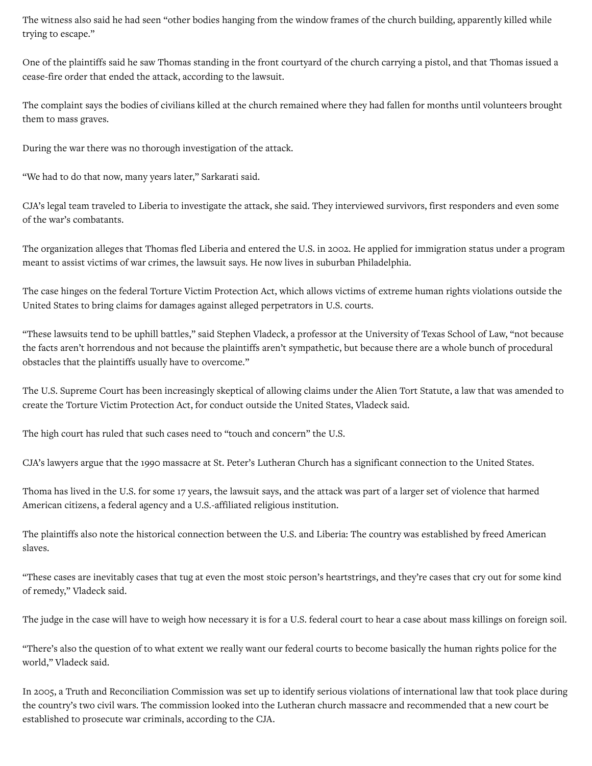The witness also said he had seen "other bodies hanging from the window frames of the church building, apparently killed while trying to escape."

One of the plaintiffs said he saw Thomas standing in the front courtyard of the church carrying a pistol, and that Thomas issued a cease-fire order that ended the attack, according to the lawsuit.

The complaint says the bodies of civilians killed at the church remained where they had fallen for months until volunteers brought them to mass graves.

During the war there was no thorough investigation of the attack.

"We had to do that now, many years later," Sarkarati said.

CJA's legal team traveled to Liberia to investigate the attack, she said. They interviewed survivors, first responders and even some of the war's combatants.

The organization alleges that Thomas fled Liberia and entered the U.S. in 2002. He applied for immigration status under a program meant to assist victims of war crimes, the lawsuit says. He now lives in suburban Philadelphia.

The case hinges on the federal Torture Victim Protection Act, which allows victims of extreme human rights violations outside the United States to bring claims for damages against alleged perpetrators in U.S. courts.

"These lawsuits tend to be uphill battles," said Stephen Vladeck, a professor at the University of Texas School of Law, "not because the facts aren't horrendous and not because the plaintiffs aren't sympathetic, but because there are a whole bunch of procedural obstacles that the plaintiffs usually have to overcome."

The U.S. Supreme Court has been increasingly skeptical of allowing claims under the Alien Tort Statute, a law that was amended to create the Torture Victim Protection Act, for conduct outside the United States, Vladeck said.

The high court has ruled that such cases need to "touch and concern" the U.S.

CJA's lawyers argue that the 1990 massacre at St. Peter's Lutheran Church has a significant connection to the United States.

Thoma has lived in the U.S. for some 17 years, the lawsuit says, and the attack was part of a larger set of violence that harmed American citizens, a federal agency and a U.S.-affiliated religious institution.

The plaintiffs also note the historical connection between the U.S. and Liberia: The country was established by freed American slaves.

"These cases are inevitably cases that tug at even the most stoic person's heartstrings, and they're cases that cry out for some kind of remedy," Vladeck said.

The judge in the case will have to weigh how necessary it is for a U.S. federal court to hear a case about mass killings on foreign soil.

"There's also the question of to what extent we really want our federal courts to become basically the human rights police for the world," Vladeck said.

In 2005, a Truth and Reconciliation Commission was set up to identify serious violations of international law that took place during the country's two civil wars. The commission looked into the Lutheran church massacre and recommended that a new court be established to prosecute war criminals, according to the CJA.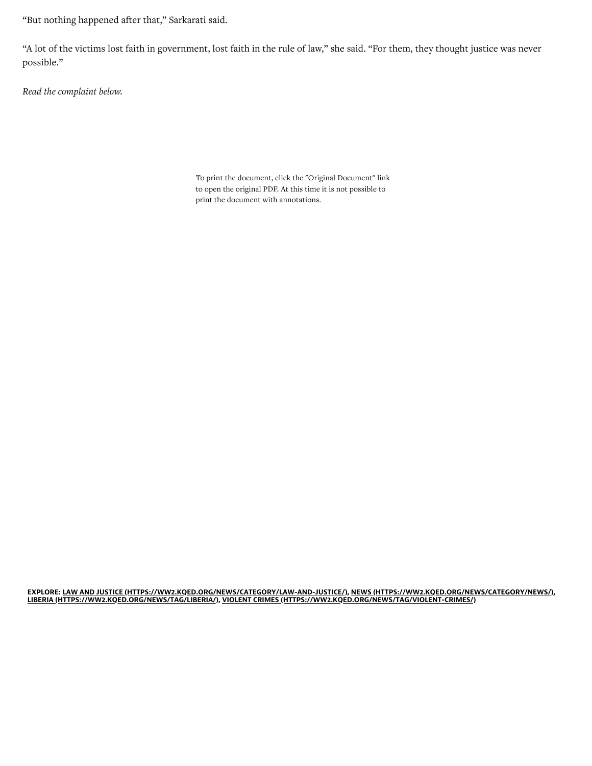"But nothing happened after that," Sarkarati said.

"A lot of the victims lost faith in government, lost faith in the rule of law," she said. "For them, they thought justice was never possible."

Read the complaint below.

To print the document, click the "Original Document" link to open the original PDF. At this time it is not possible to print the document with annotations.

EXPLORE: [LAW AND JUSTICE \(HTTPS://WW2.KQED.ORG/NEWS/CATEGORY/LAW-AND-JUSTICE/\),](https://ww2.kqed.org/news/category/law-and-justice/) [NEWS \(HTTPS://WW2.KQED.ORG/NEWS/CATEGORY/NEWS/\),](https://ww2.kqed.org/news/category/news/) [LIBERIA \(HTTPS://WW2.KQED.ORG/NEWS/TAG/LIBERIA/\)](https://ww2.kqed.org/news/tag/liberia/), [VIOLENT CRIMES \(HTTPS://WW2.KQED.ORG/NEWS/TAG/VIOLENT-CRIMES/\)](https://ww2.kqed.org/news/tag/violent-crimes/)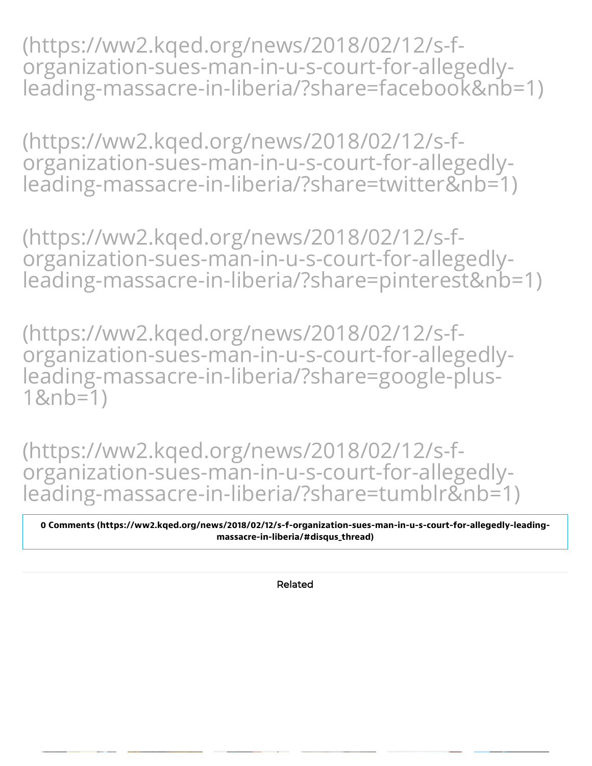(https://ww2.kqed.org/news/2018/02/12/s-forganization-sues-man-in-u-s-court-for-allegedly[leading-massacre-in-liberia/?share=facebook&nb=1\)](https://ww2.kqed.org/news/2018/02/12/s-f-organization-sues-man-in-u-s-court-for-allegedly-leading-massacre-in-liberia/?share=facebook&nb=1)

(https://ww2.kqed.org/news/2018/02/12/s-forganization-sues-man-in-u-s-court-for-allegedly[leading-massacre-in-liberia/?share=twitter&nb=1\)](https://ww2.kqed.org/news/2018/02/12/s-f-organization-sues-man-in-u-s-court-for-allegedly-leading-massacre-in-liberia/?share=twitter&nb=1)

(https://ww2.kqed.org/news/2018/02/12/s-forganization-sues-man-in-u-s-court-for-allegedly[leading-massacre-in-liberia/?share=pinterest&nb=1\)](https://ww2.kqed.org/news/2018/02/12/s-f-organization-sues-man-in-u-s-court-for-allegedly-leading-massacre-in-liberia/?share=pinterest&nb=1)

(https://ww2.kqed.org/news/2018/02/12/s-f[organization-sues-man-in-u-s-court-for-allegedly](https://ww2.kqed.org/news/2018/02/12/s-f-organization-sues-man-in-u-s-court-for-allegedly-leading-massacre-in-liberia/?share=google-plus-1&nb=1)leading-massacre-in-liberia/?share=google-plus-1&nb=1)

(https://ww2.kqed.org/news/2018/02/12/s-forganization-sues-man-in-u-s-court-for-allegedly[leading-massacre-in-liberia/?share=tumblr&nb=1\)](https://ww2.kqed.org/news/2018/02/12/s-f-organization-sues-man-in-u-s-court-for-allegedly-leading-massacre-in-liberia/?share=tumblr&nb=1)

0 Comments (https://ww2.kqed.org/news/2018/02/12/s-f-organization-sues-man-in-u-s-court-for-allegedly-leading massacre-in-liberia/#disqus\_thread)

Related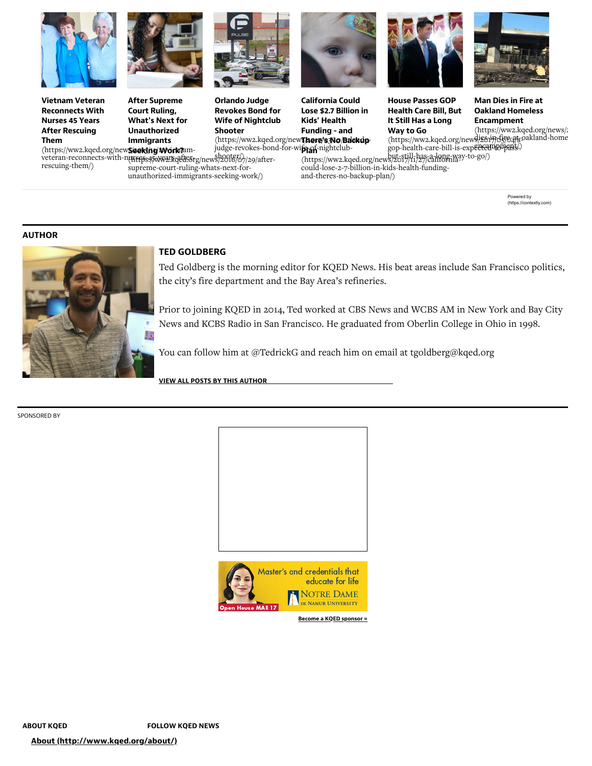

Vietnam Veteran Reconnects With Nurses 45 Years After Rescuing Them

(https://ww2.kqed.org/new**Seeking Work?**amrescuing-them/)



After Supreme Court Ruling, What's Next for Unauthorized Immigrants



Orlando Judge Revokes Bond for Wife of Nightclub Shooter

(https://ww2.kqed.org/new**ī/here/s3No/Backup**judge-revokes-bond-for-wife-of-nightclub-

California Could Lose \$2.7 Billion in Kids' Health Funding - and

House Passes GOP Health Care Bill, But It Still Has a Long Way to Go



Man Dies in Fire at Oakland Homeless **Encampment** 

(https://ww2.kqed.org/news/2814)dig6244.oakland-home gop-health-care-bill-is-expected-to-pass-encampment/) [\(https://ww2.kqed.org/news/2](https://ww2.kqed.org/news/2018/02/12/man-dies-in-fire-at-oakland-homeless-encampment/)

veteran-reconnects-with-nurses-45-years-after-booker/ supreme-court-ruling-whats-next-forunauthorized-immigrants-seeking-work/)

#### **Plan**-n [\(https://ww2.kqed.org/news/2017/11/27/california-](https://ww2.kqed.org/news/2017/11/27/california-could-lose-2-7-billion-in-kids-health-funding-and-theres-no-backup-plan/)but-still-has-a-long-way-to-go/) could-lose-2-7-billion-in-kids-health-fundingand-theres-no-backup-plan/)

Powered by [\(https://contextly.com\)](https://contextly.com/)

### AUTHOR



## TED GOLDBERG

Ted Goldberg is the morning editor for KQED News. His beat areas include San Francisco politics, the city's fire department and the Bay Area's refineries.

Prior to joining KQED in 2014, Ted worked at CBS News and WCBS AM in New York and Bay City News and KCBS Radio in San Francisco. He graduated from Oberlin College in Ohio in 1998.

You can follow him at @TedrickG and reach him on email at tgoldberg@kqed.org

VIEW ALL POSTS BY THIS [AUTHOR](https://ww2.kqed.org/news/author/tgoldberg/)

SPONSORED BY





[Become a KQED sponsor »](http://www.kqed.org/support/sponsorship/)